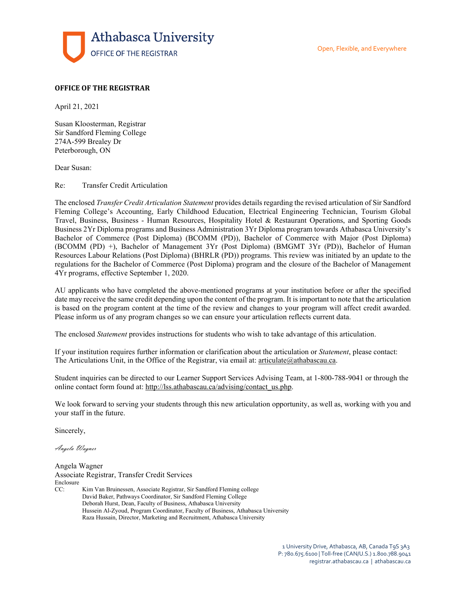

## **OFFICE OF THE REGISTRAR**

April 21, 2021

Susan Kloosterman, Registrar Sir Sandford Fleming College 274A-599 Brealey Dr Peterborough, ON

Dear Susan:

Re: Transfer Credit Articulation

The enclosed *Transfer Credit Articulation Statement* provides details regarding the revised articulation of Sir Sandford Fleming College's Accounting, Early Childhood Education, Electrical Engineering Technician, Tourism Global Travel, Business, Business - Human Resources, Hospitality Hotel & Restaurant Operations, and Sporting Goods Business 2Yr Diploma programs and Business Administration 3Yr Diploma program towards Athabasca University's Bachelor of Commerce (Post Diploma) (BCOMM (PD)), Bachelor of Commerce with Major (Post Diploma) (BCOMM (PD) +), Bachelor of Management 3Yr (Post Diploma) (BMGMT 3Yr (PD)), Bachelor of Human Resources Labour Relations (Post Diploma) (BHRLR (PD)) programs. This review was initiated by an update to the regulations for the Bachelor of Commerce (Post Diploma) program and the closure of the Bachelor of Management 4Yr programs, effective September 1, 2020.

AU applicants who have completed the above-mentioned programs at your institution before or after the specified date may receive the same credit depending upon the content of the program. It is important to note that the articulation is based on the program content at the time of the review and changes to your program will affect credit awarded. Please inform us of any program changes so we can ensure your articulation reflects current data.

The enclosed *Statement* provides instructions for students who wish to take advantage of this articulation.

If your institution requires further information or clarification about the articulation or *Statement*, please contact: The Articulations Unit, in the Office of the Registrar, via email at[: articulate@athabascau.ca.](mailto:articulate@athabascau.ca)

Student inquiries can be directed to our Learner Support Services Advising Team, at 1-800-788-9041 or through the online contact form found at: [http://lss.athabascau.ca/advising/contact\\_us.php.](http://lss.athabascau.ca/advising/contact_us.php)

We look forward to serving your students through this new articulation opportunity, as well as, working with you and your staff in the future.

Sincerely,

Angela Wagner

Angela Wagner

Associate Registrar, Transfer Credit Services Enclosure CC: Kim Van Bruinessen, Associate Registrar, Sir Sandford Fleming college David Baker, Pathways Coordinator, Sir Sandford Fleming College Deborah Hurst, Dean, Faculty of Business, Athabasca University Hussein Al-Zyoud, Program Coordinator, Faculty of Business, Athabasca University Raza Hussain, Director, Marketing and Recruitment, Athabasca University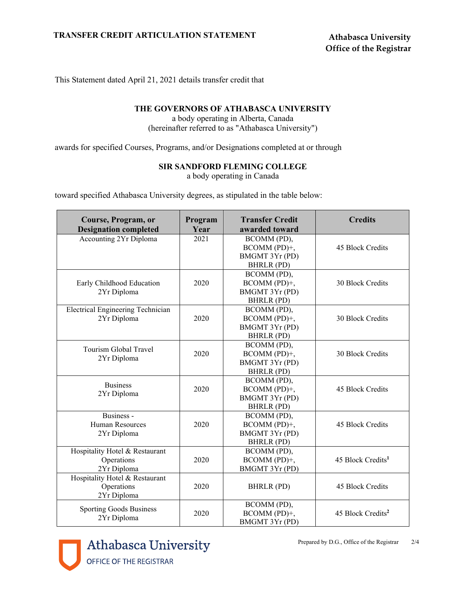This Statement dated April 21, 2021 details transfer credit that

## **THE GOVERNORS OF ATHABASCA UNIVERSITY**

a body operating in Alberta, Canada (hereinafter referred to as "Athabasca University")

awards for specified Courses, Programs, and/or Designations completed at or through

## **SIR SANDFORD FLEMING COLLEGE**

a body operating in Canada

toward specified Athabasca University degrees, as stipulated in the table below:

| Course, Program, or<br><b>Designation completed</b>         | Program<br>Year | <b>Transfer Credit</b><br>awarded toward                           | <b>Credits</b>                |
|-------------------------------------------------------------|-----------------|--------------------------------------------------------------------|-------------------------------|
| <b>Accounting 2Yr Diploma</b>                               | 2021            | BCOMM (PD),<br>BCOMM (PD)+,<br>BMGMT 3Yr (PD)<br>BHRLR (PD)        | 45 Block Credits              |
| Early Childhood Education<br>2Yr Diploma                    | 2020            | BCOMM (PD),<br>BCOMM (PD)+,<br>BMGMT 3Yr (PD)<br>BHRLR (PD)        | 30 Block Credits              |
| <b>Electrical Engineering Technician</b><br>2Yr Diploma     | 2020            | BCOMM (PD),<br>BCOMM (PD)+,<br>BMGMT 3Yr (PD)<br><b>BHRLR (PD)</b> | 30 Block Credits              |
| Tourism Global Travel<br>2Yr Diploma                        | 2020            | BCOMM (PD),<br>BCOMM (PD)+,<br>BMGMT 3Yr (PD)<br><b>BHRLR (PD)</b> | 30 Block Credits              |
| <b>Business</b><br>2Yr Diploma                              | 2020            | BCOMM (PD),<br>BCOMM (PD)+,<br>BMGMT 3Yr (PD)<br>BHRLR (PD)        | 45 Block Credits              |
| Business -<br><b>Human Resources</b><br>2Yr Diploma         | 2020            | BCOMM (PD),<br>BCOMM (PD)+,<br>BMGMT 3Yr (PD)<br>BHRLR (PD)        | 45 Block Credits              |
| Hospitality Hotel & Restaurant<br>Operations<br>2Yr Diploma | 2020            | BCOMM (PD),<br>BCOMM (PD)+,<br>BMGMT 3Yr (PD)                      | 45 Block Credits <sup>1</sup> |
| Hospitality Hotel & Restaurant<br>Operations<br>2Yr Diploma | 2020            | BHRLR (PD)                                                         | 45 Block Credits              |
| <b>Sporting Goods Business</b><br>2Yr Diploma               | 2020            | BCOMM (PD),<br>BCOMM (PD)+,<br>BMGMT 3Yr (PD)                      | 45 Block Credits <sup>2</sup> |

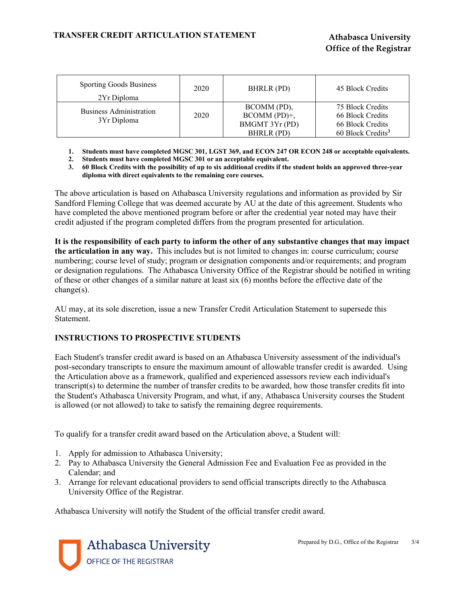| <b>Sporting Goods Business</b><br>2Yr Diploma | 2020 | BHRLR (PD)                                                     | 45 Block Credits                                                                          |
|-----------------------------------------------|------|----------------------------------------------------------------|-------------------------------------------------------------------------------------------|
| Business Administration<br>3Yr Diploma        | 2020 | BCOMM (PD),<br>$BCOMM (PD)+$ ,<br>BMGMT 3Yr (PD)<br>BHRLR (PD) | 75 Block Credits<br>66 Block Credits<br>66 Block Credits<br>60 Block Credits <sup>3</sup> |

**1. Students must have completed MGSC 301, LGST 369, and ECON 247 OR ECON 248 or acceptable equivalents.**

**2. Students must have completed MGSC 301 or an acceptable equivalent.**

**3. 60 Block Credits with the possibility of up to six additional credits if the student holds an approved three-year diploma with direct equivalents to the remaining core courses.**

The above articulation is based on Athabasca University regulations and information as provided by Sir Sandford Fleming College that was deemed accurate by AU at the date of this agreement. Students who have completed the above mentioned program before or after the credential year noted may have their credit adjusted if the program completed differs from the program presented for articulation.

**It is the responsibility of each party to inform the other of any substantive changes that may impact the articulation in any way.** This includes but is not limited to changes in: course curriculum; course numbering; course level of study; program or designation components and/or requirements; and program or designation regulations. The Athabasca University Office of the Registrar should be notified in writing of these or other changes of a similar nature at least six (6) months before the effective date of the change(s).

AU may, at its sole discretion, issue a new Transfer Credit Articulation Statement to supersede this Statement.

## **INSTRUCTIONS TO PROSPECTIVE STUDENTS**

Each Student's transfer credit award is based on an Athabasca University assessment of the individual's post-secondary transcripts to ensure the maximum amount of allowable transfer credit is awarded. Using the Articulation above as a framework, qualified and experienced assessors review each individual's transcript(s) to determine the number of transfer credits to be awarded, how those transfer credits fit into the Student's Athabasca University Program, and what, if any, Athabasca University courses the Student is allowed (or not allowed) to take to satisfy the remaining degree requirements.

To qualify for a transfer credit award based on the Articulation above, a Student will:

- 1. Apply for admission to Athabasca University;
- 2. Pay to Athabasca University the General Admission Fee and Evaluation Fee as provided in the Calendar; and
- 3. Arrange for relevant educational providers to send official transcripts directly to the Athabasca University Office of the Registrar.

Athabasca University will notify the Student of the official transfer credit award.